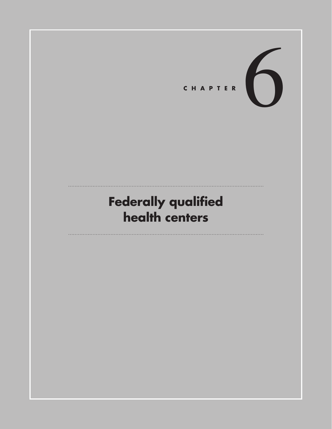

# **Federally qualified health centers**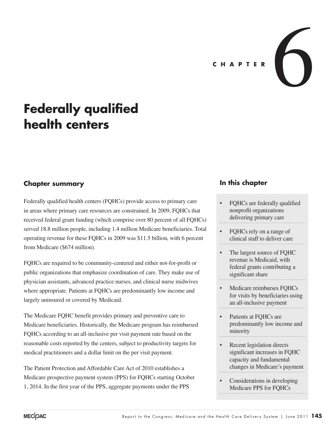

# **Federally qualified health centers**

# **Chapter summary**

Federally qualified health centers (FQHCs) provide access to primary care in areas where primary care resources are constrained. In 2009, FQHCs that received federal grant funding (which comprise over 80 percent of all FQHCs) served 18.8 million people, including 1.4 million Medicare beneficiaries. Total operating revenue for these FQHCs in 2009 was \$11.5 billion, with 6 percent from Medicare (\$674 million).

FQHCs are required to be community-centered and either not-for-profit or public organizations that emphasize coordination of care. They make use of physician assistants, advanced practice nurses, and clinical nurse midwives where appropriate. Patients at FQHCs are predominantly low income and largely uninsured or covered by Medicaid.

The Medicare FQHC benefit provides primary and preventive care to Medicare beneficiaries. Historically, the Medicare program has reimbursed FQHCs according to an all-inclusive per visit payment rate based on the reasonable costs reported by the centers, subject to productivity targets for medical practitioners and a dollar limit on the per visit payment.

The Patient Protection and Affordable Care Act of 2010 establishes a Medicare prospective payment system (PPS) for FQHCs starting October 1, 2014. In the first year of the PPS, aggregate payments under the PPS

# **In this chapter**

- FQHCs are federally qualified nonprofit organizations delivering primary care
- FQHCs rely on a range of clinical staff to deliver care
- The largest source of FQHC revenue is Medicaid, with federal grants contributing a significant share
- Medicare reimburses FQHCs for visits by beneficiaries using an all-inclusive payment
- Patients at FOHCs are predominantly low income and minority
- Recent legislation directs significant increases in FQHC capacity and fundamental changes in Medicare's payment
- Considerations in developing Medicare PPS for FQHCs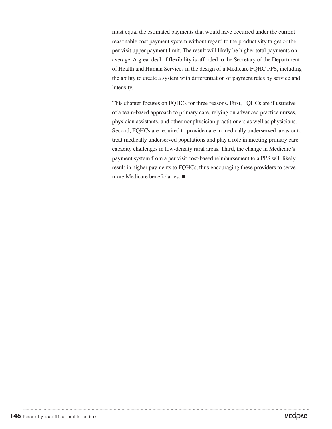must equal the estimated payments that would have occurred under the current reasonable cost payment system without regard to the productivity target or the per visit upper payment limit. The result will likely be higher total payments on average. A great deal of flexibility is afforded to the Secretary of the Department of Health and Human Services in the design of a Medicare FQHC PPS, including the ability to create a system with differentiation of payment rates by service and intensity.

This chapter focuses on FQHCs for three reasons. First, FQHCs are illustrative of a team-based approach to primary care, relying on advanced practice nurses, physician assistants, and other nonphysician practitioners as well as physicians. Second, FQHCs are required to provide care in medically underserved areas or to treat medically underserved populations and play a role in meeting primary care capacity challenges in low-density rural areas. Third, the change in Medicare's payment system from a per visit cost-based reimbursement to a PPS will likely result in higher payments to FQHCs, thus encouraging these providers to serve more Medicare beneficiaries. ■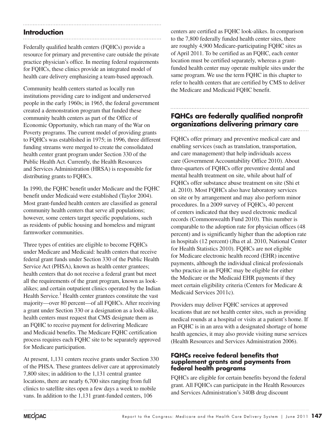## **Introduction**

Federally qualified health centers (FQHCs) provide a resource for primary and preventive care outside the private practice physician's office. In meeting federal requirements for FQHCs, these clinics provide an integrated model of health care delivery emphasizing a team-based approach.

Community health centers started as locally run institutions providing care to indigent and underserved people in the early 1960s; in 1965, the federal government created a demonstration program that funded these community health centers as part of the Office of Economic Opportunity, which ran many of the War on Poverty programs. The current model of providing grants to FQHCs was established in 1975; in 1996, three different funding streams were merged to create the consolidated health center grant program under Section 330 of the Public Health Act. Currently, the Health Resources and Services Administration (HRSA) is responsible for distributing grants to FQHCs.

In 1990, the FQHC benefit under Medicare and the FQHC benefit under Medicaid were established (Taylor 2004). Most grant-funded health centers are classified as general community health centers that serve all populations; however, some centers target specific populations, such as residents of public housing and homeless and migrant farmworker communities.

Three types of entities are eligible to become FQHCs under Medicare and Medicaid: health centers that receive federal grant funds under Section 330 of the Public Health Service Act (PHSA), known as health center grantees; health centers that do not receive a federal grant but meet all the requirements of the grant program, known as lookalikes; and certain outpatient clinics operated by the Indian Health Service.<sup>1</sup> Health center grantees constitute the vast majority—over 80 percent—of all FQHCs. After receiving a grant under Section 330 or a designation as a look-alike, health centers must request that CMS designate them as an FQHC to receive payment for delivering Medicare and Medicaid benefits. The Medicare FQHC certification process requires each FQHC site to be separately approved for Medicare participation.

At present, 1,131 centers receive grants under Section 330 of the PHSA. These grantees deliver care at approximately 7,800 sites; in addition to the 1,131 central grantee locations, there are nearly 6,700 sites ranging from full clinics to satellite sites open a few days a week to mobile vans. In addition to the 1,131 grant-funded centers, 106

centers are certified as FQHC look-alikes. In comparison to the 7,800 federally funded health center sites, there are roughly 4,900 Medicare-participating FQHC sites as of April 2011. To be certified as an FQHC, each center location must be certified separately, whereas a grantfunded health center may operate multiple sites under the same program. We use the term FQHC in this chapter to refer to health centers that are certified by CMS to deliver the Medicare and Medicaid FQHC benefit.

# **FQHCs are federally qualified nonprofit organizations delivering primary care**

FQHCs offer primary and preventive medical care and enabling services (such as translation, transportation, and care management) that help individuals access care (Government Accountability Office 2010). About three-quarters of FQHCs offer preventive dental and mental health treatment on site, while about half of FQHCs offer substance abuse treatment on site (Shi et al. 2010). Most FQHCs also have laboratory services on site or by arrangement and may also perform minor procedures. In a 2009 survey of FQHCs, 40 percent of centers indicated that they used electronic medical records (Commonwealth Fund 2010). This number is comparable to the adoption rate for physician offices (48 percent) and is significantly higher than the adoption rate in hospitals (12 percent) (Jha et al. 2010, National Center for Health Statistics 2010). FQHCs are not eligible for Medicare electronic health record (EHR) incentive payments, although the individual clinical professionals who practice in an FQHC may be eligible for either the Medicare or the Medicaid EHR payments if they meet certain eligibility criteria (Centers for Medicare & Medicaid Services 2011c).

Providers may deliver FQHC services at approved locations that are not health center sites, such as providing medical rounds at a hospital or visits at a patient's home. If an FQHC is in an area with a designated shortage of home health agencies, it may also provide visiting nurse services (Health Resources and Services Administration 2006).

## **FQHCs receive federal benefits that supplement grants and payments from federal health programs**

FQHCs are eligible for certain benefits beyond the federal grant. All FQHCs can participate in the Health Resources and Services Administration's 340B drug discount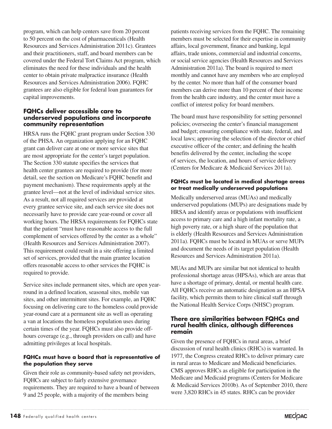program, which can help centers save from 20 percent to 50 percent on the cost of pharmaceuticals (Health Resources and Services Administration 2011c). Grantees and their practitioners, staff, and board members can be covered under the Federal Tort Claims Act program, which eliminates the need for these individuals and the health center to obtain private malpractice insurance (Health Resources and Services Administration 2006). FQHC grantees are also eligible for federal loan guarantees for capital improvements.

### **FQHCs deliver accessible care to underserved populations and incorporate community representation**

HRSA runs the FQHC grant program under Section 330 of the PHSA. An organization applying for an FQHC grant can deliver care at one or more service sites that are most appropriate for the center's target population. The Section 330 statute specifies the services that health center grantees are required to provide (for more detail, see the section on Medicare's FQHC benefit and payment mechanism). These requirements apply at the grantee level—not at the level of individual service sites. As a result, not all required services are provided at every grantee service site, and each service site does not necessarily have to provide care year-round or cover all working hours. The HRSA requirements for FQHCs state that the patient "must have reasonable access to the full complement of services offered by the center as a whole" (Health Resources and Services Administration 2007). This requirement could result in a site offering a limited set of services, provided that the main grantee location offers reasonable access to other services the FQHC is required to provide.

Service sites include permanent sites, which are open yearround in a defined location, seasonal sites, mobile van sites, and other intermittent sites. For example, an FQHC focusing on delivering care to the homeless could provide year-round care at a permanent site as well as operating a van at locations the homeless population uses during certain times of the year. FQHCs must also provide offhours coverage (e.g., through providers on call) and have admitting privileges at local hospitals.

### **FQHCs must have a board that is representative of the population they serve**

Given their role as community-based safety net providers, FQHCs are subject to fairly extensive governance requirements. They are required to have a board of between 9 and 25 people, with a majority of the members being

patients receiving services from the FQHC. The remaining members must be selected for their expertise in community affairs, local government, finance and banking, legal affairs, trade unions, commercial and industrial concerns, or social service agencies (Health Resources and Services Administration 2011a). The board is required to meet monthly and cannot have any members who are employed by the center. No more than half of the consumer board members can derive more than 10 percent of their income from the health care industry, and the center must have a conflict of interest policy for board members.

The board must have responsibility for setting personnel policies; overseeing the center's financial management and budget; ensuring compliance with state, federal, and local laws; approving the selection of the director or chief executive officer of the center; and defining the health benefits delivered by the center, including the scope of services, the location, and hours of service delivery (Centers for Medicare & Medicaid Services 2011a).

## **FQHCs must be located in medical shortage areas or treat medically underserved populations**

Medically underserved areas (MUAs) and medically underserved populations (MUPs) are designations made by HRSA and identify areas or populations with insufficient access to primary care and a high infant mortality rate, a high poverty rate, or a high share of the population that is elderly (Health Resources and Services Administration 2011a). FQHCs must be located in MUAs or serve MUPs and document the needs of its target population (Health Resources and Services Administration 2011a).

MUAs and MUPs are similar but not identical to health professional shortage areas (HPSAs), which are areas that have a shortage of primary, dental, or mental health care. All FQHCs receive an automatic designation as an HPSA facility, which permits them to hire clinical staff through the National Health Service Corps (NHSC) program.

## **There are similarities between FQHCs and rural health clinics, although differences remain**

Given the presence of FQHCs in rural areas, a brief discussion of rural health clinics (RHCs) is warranted. In 1977, the Congress created RHCs to deliver primary care in rural areas to Medicare and Medicaid beneficiaries. CMS approves RHCs as eligible for participation in the Medicare and Medicaid programs (Centers for Medicare & Medicaid Services 2010b). As of September 2010, there were 3,820 RHCs in 45 states. RHCs can be provider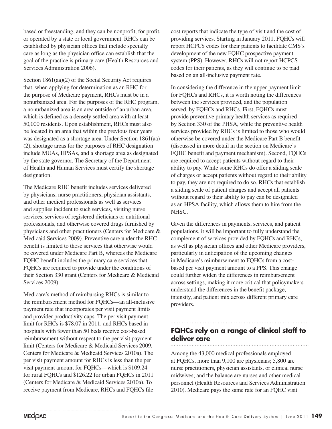based or freestanding, and they can be nonprofit, for profit, or operated by a state or local government. RHCs can be established by physician offices that include specialty care as long as the physician office can establish that the goal of the practice is primary care (Health Resources and Services Administration 2006).

Section 1861(aa)(2) of the Social Security Act requires that, when applying for determination as an RHC for the purpose of Medicare payment, RHCs must be in a nonurbanized area. For the purposes of the RHC program, a nonurbanized area is an area outside of an urban area, which is defined as a densely settled area with at least 50,000 residents. Upon establishment, RHCs must also be located in an area that within the previous four years was designated as a shortage area. Under Section 1861(aa) (2), shortage areas for the purposes of RHC designation include MUAs, HPSAs, and a shortage area as designated by the state governor. The Secretary of the Department of Health and Human Services must certify the shortage designation.

The Medicare RHC benefit includes services delivered by physicians, nurse practitioners, physician assistants, and other medical professionals as well as services and supplies incident to such services, visiting nurse services, services of registered dieticians or nutritional professionals, and otherwise covered drugs furnished by physicians and other practitioners (Centers for Medicare & Medicaid Services 2009). Preventive care under the RHC benefit is limited to those services that otherwise would be covered under Medicare Part B, whereas the Medicare FQHC benefit includes the primary care services that FQHCs are required to provide under the conditions of their Section 330 grant (Centers for Medicare & Medicaid Services 2009).

Medicare's method of reimbursing RHCs is similar to the reimbursement method for FQHCs—an all-inclusive payment rate that incorporates per visit payment limits and provider productivity caps. The per visit payment limit for RHCs is \$78.07 in 2011, and RHCs based in hospitals with fewer than 50 beds receive cost-based reimbursement without respect to the per visit payment limit (Centers for Medicare & Medicaid Services 2009, Centers for Medicare & Medicaid Services 2010a). The per visit payment amount for RHCs is less than the per visit payment amount for FQHCs—which is \$109.24 for rural FQHCs and \$126.22 for urban FQHCs in 2011 (Centers for Medicare & Medicaid Services 2010a). To receive payment from Medicare, RHCs and FQHCs file

cost reports that indicate the type of visit and the cost of providing services. Starting in January 2011, FQHCs will report HCPCS codes for their patients to facilitate CMS's development of the new FQHC prospective payment system (PPS). However, RHCs will not report HCPCS codes for their patients, as they will continue to be paid based on an all-inclusive payment rate.

In considering the difference in the upper payment limit for FQHCs and RHCs, it is worth noting the differences between the services provided, and the population served, by FQHCs and RHCs. First, FQHCs must provide preventive primary health services as required by Section 330 of the PHSA, while the preventive health services provided by RHCs is limited to those who would otherwise be covered under the Medicare Part B benefit (discussed in more detail in the section on Medicare's FQHC benefit and payment mechanism). Second, FQHCs are required to accept patients without regard to their ability to pay. While some RHCs do offer a sliding scale of charges or accept patients without regard to their ability to pay, they are not required to do so. RHCs that establish a sliding scale of patient charges and accept all patients without regard to their ability to pay can be designated as an HPSA facility, which allows them to hire from the NHSC.

Given the differences in payments, services, and patient populations, it will be important to fully understand the complement of services provided by FQHCs and RHCs, as well as physician offices and other Medicare providers, particularly in anticipation of the upcoming changes in Medicare's reimbursement to FQHCs from a costbased per visit payment amount to a PPS. This change could further widen the differences in reimbursement across settings, making it more critical that policymakers understand the differences in the benefit package, intensity, and patient mix across different primary care providers.

# **FQHCs rely on a range of clinical staff to deliver care**

Among the 43,000 medical professionals employed at FQHCs, more than 9,100 are physicians; 5,800 are nurse practitioners, physician assistants, or clinical nurse midwives; and the balance are nurses and other medical personnel (Health Resources and Services Administration 2010). Medicare pays the same rate for an FQHC visit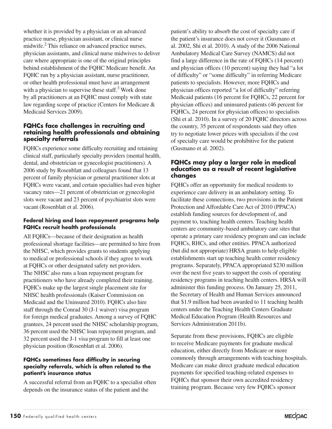whether it is provided by a physician or an advanced practice nurse, physician assistant, or clinical nurse midwife.<sup>2</sup> This reliance on advanced practice nurses, physician assistants, and clinical nurse midwives to deliver care where appropriate is one of the original principles behind establishment of the FQHC Medicare benefit. An FQHC run by a physician assistant, nurse practitioner, or other health professional must have an arrangement with a physician to supervise these staff. $3$  Work done by all practitioners at an FQHC must comply with state law regarding scope of practice (Centers for Medicare & Medicaid Services 2009).

## **FQHCs face challenges in recruiting and retaining health professionals and obtaining specialty referrals**

FQHCs experience some difficulty recruiting and retaining clinical staff, particularly specialty providers (mental health, dental, and obstetrician or gynecologist practitioners). A 2006 study by Rosenblatt and colleagues found that 13 percent of family physician or general practitioner slots at FQHCs were vacant, and certain specialties had even higher vacancy rates—21 percent of obstetrician or gynecologist slots were vacant and 23 percent of psychiatrist slots were vacant (Rosenblatt et al. 2006).

## **Federal hiring and loan repayment programs help FQHCs recruit health professionals**

All FQHCs—because of their designation as health professional shortage facilities—are permitted to hire from the NHSC, which provides grants to students applying to medical or professional schools if they agree to work at FQHCs or other designated safety net providers. The NHSC also runs a loan repayment program for practitioners who have already completed their training. FQHCs make up the largest single placement site for NHSC health professionals (Kaiser Commission on Medicaid and the Uninsured 2010). FQHCs also hire staff through the Conrad 30 (J-1 waiver) visa program for foreign medical graduates. Among a survey of FQHC grantees, 24 percent used the NHSC scholarship program, 36 percent used the NHSC loan repayment program, and 32 percent used the J-1 visa program to fill at least one physician position (Rosenblatt et al. 2006).

#### **FQHCs sometimes face difficulty in securing specialty referrals, which is often related to the patient's insurance status**

A successful referral from an FQHC to a specialist often depends on the insurance status of the patient and the

patient's ability to absorb the cost of specialty care if the patient's insurance does not cover it (Gusmano et al. 2002, Shi et al. 2010). A study of the 2006 National Ambulatory Medical Care Survey (NAMCS) did not find a large difference in the rate of FQHCs (14 percent) and physician offices (10 percent) saying they had "a lot of difficulty" or "some difficulty" in referring Medicare patients to specialists. However, more FQHCs and physician offices reported "a lot of difficulty" referring Medicaid patients (16 percent for FQHCs, 22 percent for physician offices) and uninsured patients (46 percent for FQHCs, 24 percent for physician offices) to specialists (Shi et al. 2010). In a survey of 20 FQHC directors across the country, 35 percent of respondents said they often try to negotiate lower prices with specialists if the cost of specialty care would be prohibitive for the patient (Gusmano et al. 2002).

## **FQHCs may play a larger role in medical education as a result of recent legislative changes**

FQHCs offer an opportunity for medical residents to experience care delivery in an ambulatory setting. To facilitate these connections, two provisions in the Patient Protection and Affordable Care Act of 2010 (PPACA) establish funding sources for development of, and payment to, teaching health centers. Teaching health centers are community-based ambulatory care sites that operate a primary care residency program and can include FQHCs, RHCs, and other entities. PPACA authorized (but did not appropriate) HRSA grants to help eligible establishments start up teaching health center residency programs. Separately, PPACA appropriated \$230 million over the next five years to support the costs of operating residency programs in teaching health centers. HRSA will administer this funding process. On January 25, 2011, the Secretary of Health and Human Services announced that \$1.9 million had been awarded to 11 teaching health centers under the Teaching Health Centers Graduate Medical Education Program (Health Resources and Services Administration 2011b).

Separate from these provisions, FQHCs are eligible to receive Medicare payments for graduate medical education, either directly from Medicare or more commonly through arrangements with teaching hospitals. Medicare can make direct graduate medical education payments for specified teaching-related expenses to FQHCs that sponsor their own accredited residency training program. Because very few FQHCs sponsor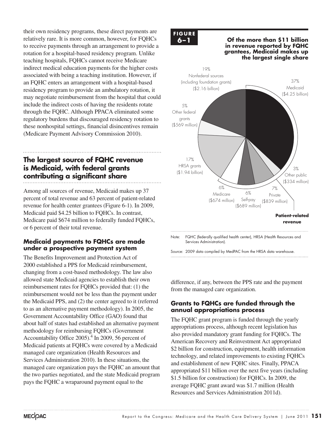their own residency programs, these direct payments are relatively rare. It is more common, however, for FQHCs to receive payments through an arrangement to provide a rotation for a hospital-based residency program. Unlike teaching hospitals, FQHCs cannot receive Medicare indirect medical education payments for the higher costs associated with being a teaching institution. However, if an FQHC enters an arrangement with a hospital-based residency program to provide an ambulatory rotation, it may negotiate reimbursement from the hospital that could include the indirect costs of having the residents rotate through the FQHC. Although PPACA eliminated some regulatory burdens that discouraged residency rotation to these nonhospital settings, financial disincentives remain (Medicare Payment Advisory Commission 2010).

# **The largest source of FQHC revenue is Medicaid, with federal grants contributing a significant share**

Among all sources of revenue, Medicaid makes up 37 percent of total revenue and 63 percent of patient-related revenue for health center grantees (Figure 6-1). In 2009, Medicaid paid \$4.25 billion to FQHCs. In contrast, Medicare paid \$674 million to federally funded FQHCs, or 6 percent of their total revenue.

## **Medicaid payments to FQHCs are made under a prospective payment system**

The Benefits Improvement and Protection Act of 2000 established a PPS for Medicaid reimbursement, changing from a cost-based methodology. The law also allowed state Medicaid agencies to establish their own reimbursement rates for FQHCs provided that: (1) the reimbursement would not be less than the payment under the Medicaid PPS, and (2) the center agreed to it (referred to as an alternative payment methodology). In 2005, the Government Accountability Office (GAO) found that about half of states had established an alternative payment methodology for reimbursing FQHCs (Government Accountability Office  $2005$ .<sup>4</sup> In 2009, 56 percent of Medicaid patients at FQHCs were covered by a Medicaid managed care organization (Health Resources and Services Administration 2010). In these situations, the managed care organization pays the FQHC an amount that the two parties negotiated, and the state Medicaid program pays the FQHC a wraparound payment equal to the

# **F ig ure FIGURE 6–1**

#### **6–1 Of the more than \$11 billion in revenue reported by FQHC grantees, Medicaid makes up the largest single share**



Note: FQHC (federally qualified health center), HRSA (Health Resources and Services Administration).

Source: 2009 data compiled by MedPAC from the HRSA data warehouse.

difference, if any, between the PPS rate and the payment from the managed care organization.

## **Grants to FQHCs are funded through the annual appropriations process**

The FQHC grant program is funded through the yearly appropriations process, although recent legislation has also provided mandatory grant funding for FQHCs. The American Recovery and Reinvestment Act appropriated \$2 billion for construction, equipment, health information technology, and related improvements to existing FQHCs and establishment of new FQHC sites. Finally, PPACA appropriated \$11 billion over the next five years (including \$1.5 billion for construction) for FQHCs. In 2009, the average FQHC grant award was \$1.7 million (Health Resources and Services Administration 2011d).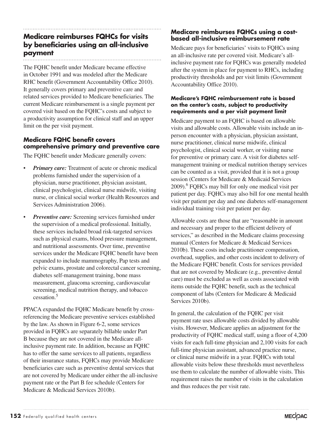# provided in FQHCs are separately billable under Part

B because they are not covered in the Medicare allinclusive payment rate. In addition, because an FQHC has to offer the same services to all patients, regardless of their insurance status, FQHCs may provide Medicare beneficiaries care such as preventive dental services that are not covered by Medicare under either the all-inclusive payment rate or the Part B fee schedule (Centers for Medicare & Medicaid Services 2010b).

PPACA expanded the FQHC Medicare benefit by crossreferencing the Medicare preventive services established by the law. As shown in Figure 6-2, some services

# **Medicare reimburses FQHCs for visits by beneficiaries using an all-inclusive payment**

The FQHC benefit under Medicare became effective in October 1991 and was modeled after the Medicare RHC benefit (Government Accountability Office 2010). It generally covers primary and preventive care and related services provided to Medicare beneficiaries. The current Medicare reimbursement is a single payment per covered visit based on the FQHC's costs and subject to a productivity assumption for clinical staff and an upper limit on the per visit payment.

## **Medicare FQHC benefit covers comprehensive primary and preventive care**

The FQHC benefit under Medicare generally covers:

- *Primary care:* Treatment of acute or chronic medical problems furnished under the supervision of a physician, nurse practitioner, physician assistant, clinical psychologist, clinical nurse midwife, visiting nurse, or clinical social worker (Health Resources and Services Administration 2006).
- *Preventive care:* Screening services furnished under the supervision of a medical professional. Initially, these services included broad risk-targeted services such as physical exams, blood pressure management, and nutritional assessments. Over time, preventive services under the Medicare FQHC benefit have been expanded to include mammography, Pap tests and pelvic exams, prostate and colorectal cancer screening, diabetes self-management training, bone mass measurement, glaucoma screening, cardiovascular screening, medical nutrition therapy, and tobacco cessation.5

## **Medicare reimburses FQHCs using a costbased all-inclusive reimbursement rate**

Medicare pays for beneficiaries' visits to FQHCs using an all-inclusive rate per covered visit. Medicare's allinclusive payment rate for FQHCs was generally modeled after the system in place for payment to RHCs, including productivity thresholds and per visit limits (Government Accountability Office 2010).

#### **Medicare's FQHC reimbursement rate is based on the center's costs, subject to productivity requirements and a per visit payment limit**

Medicare payment to an FQHC is based on allowable visits and allowable costs. Allowable visits include an inperson encounter with a physician, physician assistant, nurse practitioner, clinical nurse midwife, clinical psychologist, clinical social worker, or visiting nurse for preventive or primary care. A visit for diabetes selfmanagement training or medical nutrition therapy services can be counted as a visit, provided that it is not a group session (Centers for Medicare & Medicaid Services 2009).<sup>6</sup> FQHCs may bill for only one medical visit per patient per day. FQHCs may also bill for one mental health visit per patient per day and one diabetes self-management individual training visit per patient per day.

Allowable costs are those that are "reasonable in amount and necessary and proper to the efficient delivery of services," as described in the Medicare claims processing manual (Centers for Medicare & Medicaid Services 2010b). These costs include practitioner compensation, overhead, supplies, and other costs incident to delivery of the Medicare FQHC benefit. Costs for services provided that are not covered by Medicare (e.g., preventive dental care) must be excluded as well as costs associated with items outside the FQHC benefit, such as the technical component of labs (Centers for Medicare & Medicaid Services 2010b).

In general, the calculation of the FQHC per visit payment rate uses allowable costs divided by allowable visits. However, Medicare applies an adjustment for the productivity of FQHC medical staff, using a floor of 4,200 visits for each full-time physician and 2,100 visits for each full-time physician assistant, advanced practice nurse, or clinical nurse midwife in a year. FQHCs with total allowable visits below these thresholds must nevertheless use them to calculate the number of allowable visits. This requirement raises the number of visits in the calculation and thus reduces the per visit rate.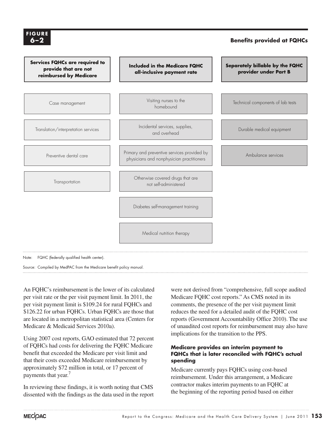

Source: Compiled by MedPAC from the Medicare benefit policy manual.

An FQHC's reimbursement is the lower of its calculated per visit rate or the per visit payment limit. In 2011, the per visit payment limit is \$109.24 for rural FQHCs and \$126.22 for urban FQHCs. Urban FQHCs are those that are located in a metropolitan statistical area (Centers for Medicare & Medicaid Services 2010a).

Using 2007 cost reports, GAO estimated that 72 percent of FQHCs had costs for delivering the FQHC Medicare benefit that exceeded the Medicare per visit limit and that their costs exceeded Medicare reimbursement by approximately \$72 million in total, or 17 percent of payments that year.<sup>7</sup>

In reviewing these findings, it is worth noting that CMS dissented with the findings as the data used in the report

were not derived from "comprehensive, full scope audited Medicare FQHC cost reports." As CMS noted in its comments, the presence of the per visit payment limit reduces the need for a detailed audit of the FQHC cost reports (Government Accountability Office 2010). The use of unaudited cost reports for reimbursement may also have implications for the transition to the PPS.

## **Medicare provides an interim payment to FQHCs that is later reconciled with FQHC's actual spending**

Medicare currently pays FQHCs using cost-based reimbursement. Under this arrangement, a Medicare contractor makes interim payments to an FQHC at the beginning of the reporting period based on either

**6-2**

**F ig ure**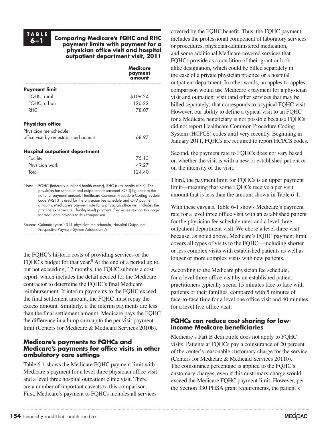**TA B L E**

#### **6–1 Comparing Medicare's FQHC and RHC payment limits with payment for a physician office visit and hospital outpatient department visit, 2011**

|                                        | Medicare<br>payment<br>amount |
|----------------------------------------|-------------------------------|
| <b>Payment limit</b>                   |                               |
| FQHC, rural                            | \$109.24                      |
| FQHC, urban                            | 126.22                        |
| RHC.                                   | 78.07                         |
| <b>Physician office</b>                |                               |
| Physician fee schedule,                |                               |
| office visit by an established patient | 68.97                         |
| Hospital outpatient department         |                               |
| Facility                               | 75.13                         |
| Physician work                         | 49.27                         |
| Total                                  | 124.40                        |

Note: FQHC (federally qualified health center), RHC (rural health clinic). The physician fee schedule and outpatient department (OPD) figures are the national payment amount. Healthcare Common Procedure Coding System code 99213 is used for the physician fee schedule and OPD payment amounts. Medicare's payment rate for a physician office visit includes the practice expense (i.e., facility-level) payment. Please see text on this page for additional caveats to this comparison.

Source: Calendar year 2011 physician fee schedule, Hospital Outpatient Prospective Payment System Addendum A.

the FQHC's historic costs of providing services or the FQHC's budget for that year. $8$  At the end of a period up to, but not exceeding, 12 months, the FQHC submits a cost report, which includes the detail needed for the Medicare contractor to determine the FQHC's final Medicare reimbursement. If interim payments to the FQHC exceed the final settlement amount, the FQHC must repay the excess amount. Similarly, if the interim payments are less than the final settlement amount, Medicare pays the FQHC the difference in a lump sum up to the per visit payment limit (Centers for Medicare & Medicaid Services 2010b).

## **Medicare's payments to FQHCs and Medicare's payments for office visits in other ambulatory care settings**

Table 6-1 shows the Medicare FQHC payment limit with Medicare's payment for a level three physician office visit and a level three hospital outpatient clinic visit. There are a number of important caveats to this comparison. First, Medicare's payment to FQHCs includes all services

covered by the FQHC benefit. Thus, the FQHC payment includes the professional component of laboratory services or procedures, physician-administered medication, and some additional Medicare-covered services that FQHCs provide as a condition of their grant or lookalike designation, which could be billed separately in the case of a private physician practice or a hospital outpatient department. In other words, an apples-to-apples comparison would use Medicare's payment for a physician visit and outpatient visit (and other services that may be billed separately) that corresponds to a typical FQHC visit. However, our ability to define a typical visit to an FQHC for a Medicare beneficiary is not possible because FQHCs did not report Healthcare Common Procedure Coding System (HCPCS) codes until very recently. Beginning in January 2011, FQHCs are required to report HCPCS codes.

Second, the payment rate to FQHCs does not vary based on whether the visit is with a new or established patient or on the intensity of the visit.

Third, the payment limit for FQHCs is an upper payment limit—meaning that some FQHCs receive a per visit amount that is less than the amount shown in Table 6-1.

With these caveats, Table 6-1 shows Medicare's payment rate for a level three office visit with an established patient for the physician fee schedule rates and a level three outpatient department visit. We chose a level three visit because, as noted above, Medicare's FQHC payment limit covers all types of visits to the FQHC—including shorter or less complex visits with established patients as well as longer or more complex visits with new patients.

According to the Medicare physician fee schedule, for a level three office visit by an established patient, practitioners typically spend 15 minutes face to face with patients or their families, compared with 5 minutes of face-to-face time for a level one office visit and 40 minutes for a level five office visit.

## **FQHCs can reduce cost sharing for lowincome Medicare beneficiaries**

Medicare's Part B deductible does not apply to FQHC visits. Patients at FQHCs pay a coinsurance of 20 percent of the center's reasonable customary charge for the service (Centers for Medicare & Medicaid Services 2011b). The coinsurance percentage is applied to the FQHC's customary charges, even if this customary charge would exceed the Medicare FQHC payment limit. However, per the Section 330 PHSA grant requirements, the patient's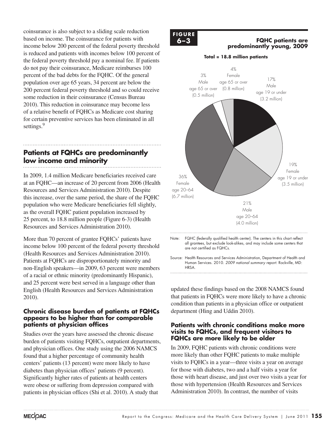coinsurance is also subject to a sliding scale reduction based on income. The coinsurance for patients with income below 200 percent of the federal poverty threshold is reduced and patients with incomes below 100 percent of the federal poverty threshold pay a nominal fee. If patients do not pay their coinsurance, Medicare reimburses 100 percent of the bad debts for the FQHC. Of the general population over age 65 years, 34 percent are below the 200 percent federal poverty threshold and so could receive some reduction in their coinsurance (Census Bureau 2010). This reduction in coinsurance may become less of a relative benefit of FQHCs as Medicare cost sharing for certain preventive services has been eliminated in all settings.<sup>9</sup>

# **Patients at FQHCs are predominantly low income and minority**

In 2009, 1.4 million Medicare beneficiaries received care at an FQHC—an increase of 20 percent from 2006 (Health Resources and Services Administration 2010). Despite this increase, over the same period, the share of the FQHC population who were Medicare beneficiaries fell slightly, as the overall FQHC patient population increased by 25 percent, to 18.8 million people (Figure 6-3) (Health Resources and Services Administration 2010).

More than 70 percent of grantee FQHCs' patients have income below 100 percent of the federal poverty threshold (Health Resources and Services Administration 2010). Patients at FQHCs are disproportionately minority and non-English speakers—in 2009, 63 percent were members of a racial or ethnic minority (predominantly Hispanic), and 25 percent were best served in a language other than English (Health Resources and Services Administration 2010).

## **Chronic disease burden of patients at FQHCs appears to be higher than for comparable patients at physician offices**

Studies over the years have assessed the chronic disease burden of patients visiting FQHCs, outpatient departments, and physician offices. One study using the 2006 NAMCS found that a higher percentage of community health centers' patients (13 percent) were more likely to have diabetes than physician offices' patients (9 percent). Significantly higher rates of patients at health centers were obese or suffering from depression compared with patients in physician offices (Shi et al. 2010). A study that

#### **F ig ure FIGURE 6–3**

### **6–3 FQHC** patients are **predominantly young, 2009**



updated these findings based on the 2008 NAMCS found that patients in FQHCs were more likely to have a chronic condition than patients in a physician office or outpatient department (Hing and Uddin 2010).

## **Patients with chronic conditions make more visits to FQHCs, and frequent visitors to FQHCs are more likely to be older**

In 2009, FQHC patients with chronic conditions were more likely than other FQHC patients to make multiple visits to FQHCs in a year—three visits a year on average for those with diabetes, two and a half visits a year for those with heart disease, and just over two visits a year for those with hypertension (Health Resources and Services Administration 2010). In contrast, the number of visits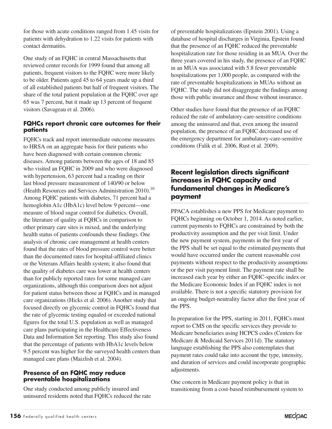for those with acute conditions ranged from 1.45 visits for patients with dehydration to 1.22 visits for patients with contact dermatitis.

One study of an FQHC in central Massachusetts that reviewed center records for 1999 found that among all patients, frequent visitors to the FQHC were more likely to be older. Patients aged 45 to 64 years made up a third of all established patients but half of frequent visitors. The share of the total patient population at the FQHC over age 65 was 7 percent, but it made up 13 percent of frequent visitors (Savageau et al. 2006).

## **FQHCs report chronic care outcomes for their patients**

FQHCs track and report intermediate outcome measures to HRSA on an aggregate basis for their patients who have been diagnosed with certain common chronic diseases. Among patients between the ages of 18 and 85 who visited an FQHC in 2009 and who were diagnosed with hypertension, 63 percent had a reading on their last blood pressure measurement of 140/90 or below (Health Resources and Services Administration 2010).<sup>10</sup> Among FQHC patients with diabetes, 71 percent had a hemoglobin A1c (HbA1c) level below 9 percent—one measure of blood sugar control for diabetics. Overall, the literature of quality at FQHCs in comparison to other primary care sites is mixed, and the underlying health status of patients confounds these findings. One analysis of chronic care management at health centers found that the rates of blood pressure control were better than the documented rates for hospital-affiliated clinics or the Veterans Affairs health system; it also found that the quality of diabetes care was lower at health centers than for publicly reported rates for some managed care organizations, although this comparison does not adjust for patient status between those at FQHCs and in managed care organizations (Hicks et al. 2006). Another study that focused directly on glycemic control in FQHCs found that the rate of glycemic testing equaled or exceeded national figures for the total U.S. population as well as managed care plans participating in the Healthcare Effectiveness Data and Information Set reporting. This study also found that the percentage of patients with HbA1c levels below 9.5 percent was higher for the surveyed health centers than managed care plans (Maizlish et al. 2004).

## **Presence of an FQHC may reduce preventable hospitalizations**

One study conducted among publicly insured and uninsured residents noted that FQHCs reduced the rate of preventable hospitalizations (Epstein 2001). Using a database of hospital discharges in Virginia, Epstein found that the presence of an FQHC reduced the preventable hospitalization rate for those residing in an MUA. Over the three years covered in his study, the presence of an FQHC in an MUA was associated with 5.8 fewer preventable hospitalizations per 1,000 people, as compared with the rate of preventable hospitalizations in MUAs without an FQHC. The study did not disaggregate the findings among those with public insurance and those without insurance.

Other studies have found that the presence of an FQHC reduced the rate of ambulatory-care-sensitive conditions among the uninsured and that, even among the insured population, the presence of an FQHC decreased use of the emergency department for ambulatory-care-sensitive conditions (Falik et al. 2006, Rust et al. 2009).

# **Recent legislation directs significant increases in FQHC capacity and fundamental changes in Medicare's payment**

PPACA establishes a new PPS for Medicare payment to FQHCs beginning on October 1, 2014. As noted earlier, current payments to FQHCs are constrained by both the productivity assumption and the per visit limit. Under the new payment system, payments in the first year of the PPS shall be set equal to the estimated payments that would have occurred under the current reasonable cost payments without respect to the productivity assumptions or the per visit payment limit. The payment rate shall be increased each year by either an FQHC-specific index or the Medicare Economic Index if an FQHC index is not available. There is not a specific statutory provision for an ongoing budget-neutrality factor after the first year of the PPS.

In preparation for the PPS, starting in 2011, FQHCs must report to CMS on the specific services they provide to Medicare beneficiaries using HCPCS codes (Centers for Medicare & Medicaid Services 2011d). The statutory language establishing the PPS also contemplates that payment rates could take into account the type, intensity, and duration of services and could incorporate geographic adjustments.

One concern in Medicare payment policy is that in transitioning from a cost-based reimbursement system to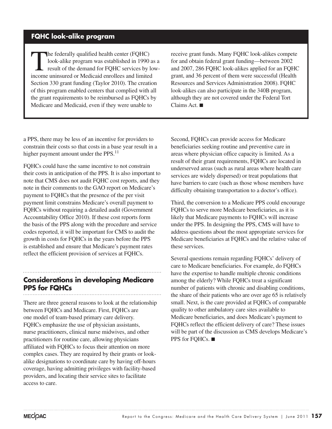# **FQHC look-alike program**

The federally qualified health center (FQHC)<br>look-alike program was established in 1990 as a<br>result of the demand for FQHC services by low-<br>income unineured or Medicaid angelless and limited look-alike program was established in 1990 as a income uninsured or Medicaid enrollees and limited Section 330 grant funding (Taylor 2010). The creation of this program enabled centers that complied with all the grant requirements to be reimbursed as FQHCs by Medicare and Medicaid, even if they were unable to

receive grant funds. Many FQHC look-alikes compete for and obtain federal grant funding—between 2002 and 2007, 286 FQHC look-alikes applied for an FQHC grant, and 36 percent of them were successful (Health Resources and Services Administration 2008). FQHC look-alikes can also participate in the 340B program, although they are not covered under the Federal Tort Claims Act. ■

a PPS, there may be less of an incentive for providers to constrain their costs so that costs in a base year result in a higher payment amount under the PPS. $^{11}$ 

FQHCs could have the same incentive to not constrain their costs in anticipation of the PPS. It is also important to note that CMS does not audit FQHC cost reports, and they note in their comments to the GAO report on Medicare's payment to FQHCs that the presence of the per visit payment limit constrains Medicare's overall payment to FQHCs without requiring a detailed audit (Government Accountability Office 2010). If these cost reports form the basis of the PPS along with the procedure and service codes reported, it will be important for CMS to audit the growth in costs for FQHCs in the years before the PPS is established and ensure that Medicare's payment rates reflect the efficient provision of services at FQHCs.

# **Considerations in developing Medicare PPS for FQHCs**

There are three general reasons to look at the relationship between FQHCs and Medicare. First, FQHCs are one model of team-based primary care delivery. FQHCs emphasize the use of physician assistants, nurse practitioners, clinical nurse midwives, and other practitioners for routine care, allowing physicians affiliated with FQHCs to focus their attention on more complex cases. They are required by their grants or lookalike designations to coordinate care by having off-hours coverage, having admitting privileges with facility-based providers, and locating their service sites to facilitate access to care.

Second, FQHCs can provide access for Medicare beneficiaries seeking routine and preventive care in areas where physician office capacity is limited. As a result of their grant requirements, FQHCs are located in underserved areas (such as rural areas where health care services are widely dispersed) or treat populations that have barriers to care (such as those whose members have difficulty obtaining transportation to a doctor's office).

Third, the conversion to a Medicare PPS could encourage FQHCs to serve more Medicare beneficiaries, as it is likely that Medicare payments to FQHCs will increase under the PPS. In designing the PPS, CMS will have to address questions about the most appropriate services for Medicare beneficiaries at FQHCs and the relative value of these services.

Several questions remain regarding FQHCs' delivery of care to Medicare beneficiaries. For example, do FQHCs have the expertise to handle multiple chronic conditions among the elderly? While FQHCs treat a significant number of patients with chronic and disabling conditions, the share of their patients who are over age 65 is relatively small. Next, is the care provided at FQHCs of comparable quality to other ambulatory care sites available to Medicare beneficiaries, and does Medicare's payment to FQHCs reflect the efficient delivery of care? These issues will be part of the discussion as CMS develops Medicare's PPS for FQHCs. ■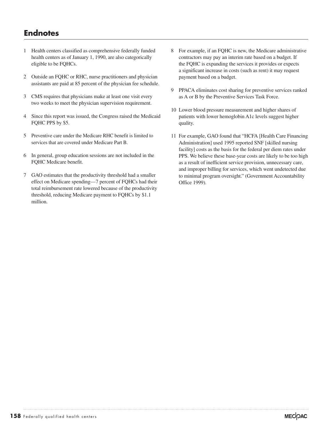# **Endnotes**

- 1 Health centers classified as comprehensive federally funded health centers as of January 1, 1990, are also categorically eligible to be FQHCs.
- 2 Outside an FQHC or RHC, nurse practitioners and physician assistants are paid at 85 percent of the physician fee schedule.
- 3 CMS requires that physicians make at least one visit every two weeks to meet the physician supervision requirement.
- 4 Since this report was issued, the Congress raised the Medicaid FQHC PPS by \$5.
- 5 Preventive care under the Medicare RHC benefit is limited to services that are covered under Medicare Part B.
- 6 In general, group education sessions are not included in the FQHC Medicare benefit.
- 7 GAO estimates that the productivity threshold had a smaller effect on Medicare spending—7 percent of FQHCs had their total reimbursement rate lowered because of the productivity threshold, reducing Medicare payment to FQHCs by \$1.1 million.
- 8 For example, if an FQHC is new, the Medicare administrative contractors may pay an interim rate based on a budget. If the FQHC is expanding the services it provides or expects a significant increase in costs (such as rent) it may request payment based on a budget.
- 9 PPACA eliminates cost sharing for preventive services ranked as A or B by the Preventive Services Task Force.
- 10 Lower blood pressure measurement and higher shares of patients with lower hemoglobin A1c levels suggest higher quality.
- 11 For example, GAO found that "HCFA [Health Care Financing Administration] used 1995 reported SNF [skilled nursing facility] costs as the basis for the federal per diem rates under PPS. We believe these base-year costs are likely to be too high as a result of inefficient service provision, unnecessary care, and improper billing for services, which went undetected due to minimal program oversight." (Government Accountability Office 1999).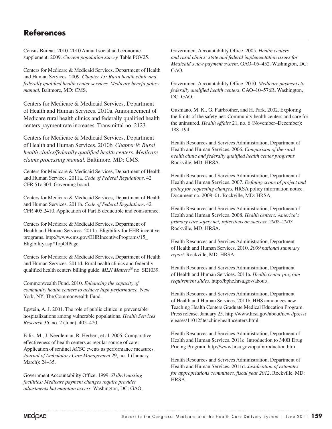# **References**

Census Bureau. 2010. 2010 Annual social and economic supplement: 2009. *Current population survey.* Table POV25.

Centers for Medicare & Medicaid Services, Department of Health and Human Services. 2009. *Chapter 13: Rural health clinic and federally qualified health center services. Medicare benefit policy manual.* Baltmore, MD: CMS.

Centers for Medicare & Medicaid Services, Department of Health and Human Services. 2010a. Announcement of Medicare rural health clinics and federally qualified health centers payment rate increases. Transmittal no. 2123.

Centers for Medicare & Medicaid Services, Department of Health and Human Services. 2010b. *Chapter 9: Rural health clinics/federally qualified health centers. Medicare claims processing manual.* Baltimore, MD: CMS.

Centers for Medicare & Medicaid Services, Department of Health and Human Services. 2011a. *Code of Federal Regulations*. 42 CFR 51c 304. Governing board.

Centers for Medicare & Medicaid Services, Department of Health and Human Services. 2011b. *Code of Federal Regulations*. 42 CFR 405.2410. Application of Part B deductible and coinsurance.

Centers for Medicare & Medicaid Services, Department of Health and Human Services. 2011c. Eligibility for EHR incentive programs. http://www.cms.gov/EHRIncentivePrograms/15\_ Eligibility.asp#TopOfPage.

Centers for Medicare & Medicaid Services, Department of Health and Human Services. 2011d. Rural health clinics and federally qualified health centers billing guide. *MLN Matters®* no. SE1039.

Commonwealth Fund. 2010. *Enhancing the capacity of community health centers to achieve high performance*. New York, NY: The Commonwealth Fund.

Epstein, A. J. 2001. The role of public clinics in preventable hospitalizations among vulnerable populations. *Health Services Research* 36, no. 2 (June): 405–420.

Falik, M., J. Needleman, R. Herbert, et al. 2006. Comparative effectiveness of health centers as regular source of care: Application of sentinel ACSC events as performance measures. *Journal of Ambulatory Care Management* 29, no. 1 (January– March): 24–35.

Government Accountability Office. 1999. *Skilled nursing facilities: Medicare payment changes require provider adjustments but maintain access.* Washington, DC: GAO. Government Accountability Office. 2005. *Health centers and rural clinics: state and federal implementation issues for Medicaid's new payment system*. GAO–05–452. Washington, DC: GAO.

Government Accountability Office. 2010. *Medicare payments to federally qualified health centers*. GAO–10–576R. Washington, DC: GAO.

Gusmano, M. K., G. Fairbrother, and H. Park. 2002. Exploring the limits of the safety net: Community health centers and care for the uninsured. *Health Affairs* 21, no. 6 (November–December): 188–194.

Health Resources and Services Administration, Department of Health and Human Services. 2006. *Comparison of the rural health clinic and federally qualified health center programs.* Rockville, MD: HRSA.

Health Resources and Services Administration, Department of Health and Human Services. 2007. *Defining scope of project and policy for requesting changes.* HRSA policy information notice. Document no. 2008–01. Rockville, MD: HRSA.

Health Resources and Services Administration, Department of Health and Human Services. 2008. *Health centers: America's primary care safety net, reflections on success, 2002–2007.* Rockville, MD: HRSA.

Health Resources and Services Administration, Department of Health and Human Services. 2010. *2009 national summary report*. Rockville, MD: HRSA.

Health Resources and Services Administration, Department of Health and Human Services. 2011a. *Health center program requirement slides*. http://bphc.hrsa.gov/about/.

Health Resources and Services Administration, Department of Health and Human Services. 2011b. HHS announces new Teaching Health Centers Graduate Medical Education Program. Press release. January 25. http://www.hrsa.gov/about/news/pressr eleases/110125teachinghealthcenters.html.

Health Resources and Services Administration, Department of Health and Human Services. 2011c. Introduction to 340B Drug Pricing Program. http://www.hrsa.gov/opa/introduction.htm.

Health Resources and Services Administration, Department of Health and Human Services. 2011d. *Justification of estimates for appropriations committees, fiscal year 2012*. Rockville, MD: HRSA.